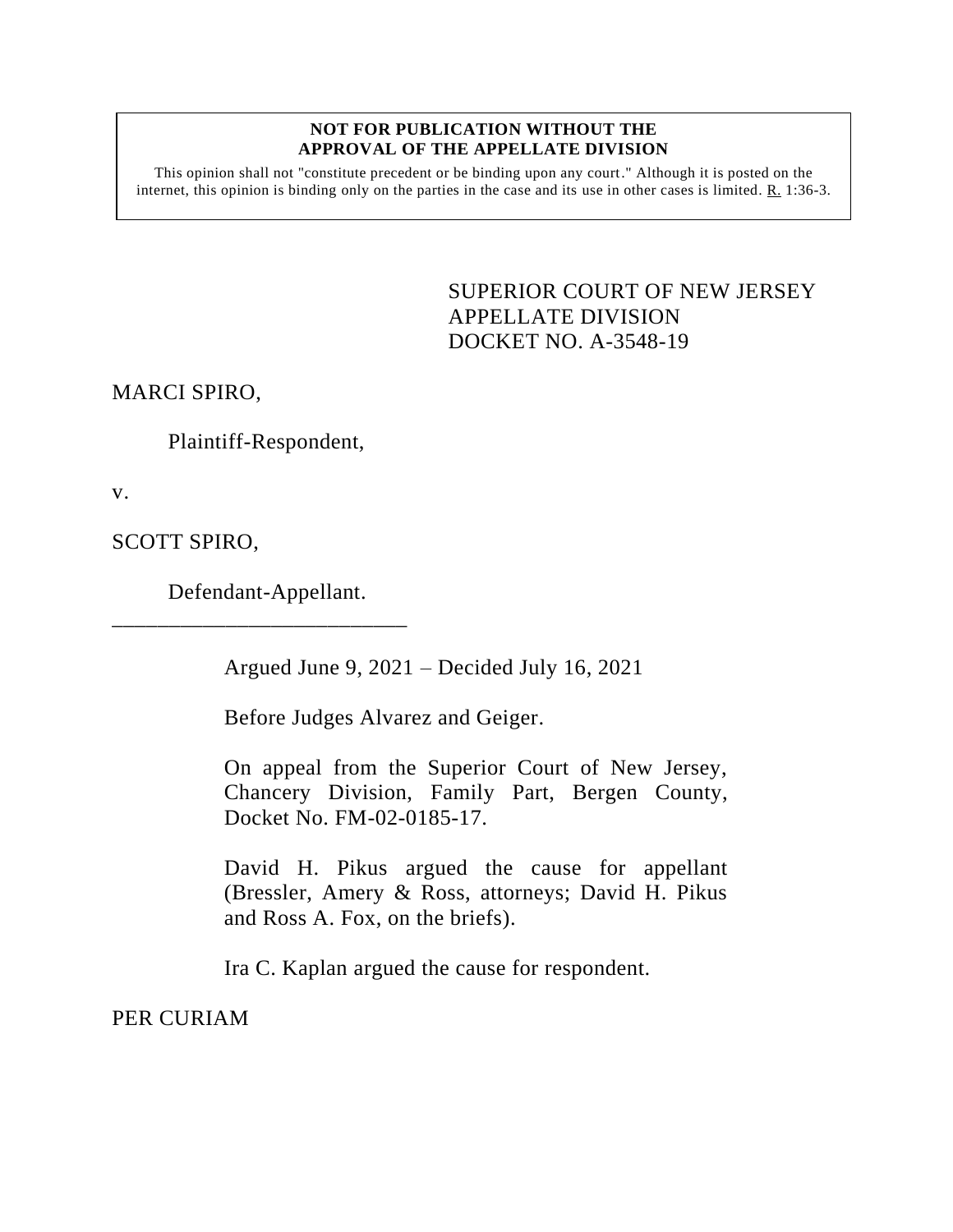#### **NOT FOR PUBLICATION WITHOUT THE APPROVAL OF THE APPELLATE DIVISION**

This opinion shall not "constitute precedent or be binding upon any court." Although it is posted on the internet, this opinion is binding only on the parties in the case and its use in other cases is limited. R. 1:36-3.

> <span id="page-0-0"></span>SUPERIOR COURT OF NEW JERSEY APPELLATE DIVISION DOCKET NO. A-3548-19

MARCI SPIRO,

Plaintiff-Respondent,

v.

SCOTT SPIRO,

Defendant-Appellant.

\_\_\_\_\_\_\_\_\_\_\_\_\_\_\_\_\_\_\_\_\_\_\_\_\_\_

Argued June 9, 2021 – Decided July 16, 2021

Before Judges Alvarez and Geiger.

On appeal from the Superior Court of New Jersey, Chancery Division, Family Part, Bergen County, Docket No. FM-02-0185-17.

David H. Pikus argued the cause for appellant (Bressler, Amery & Ross, attorneys; David H. Pikus and Ross A. Fox, on the briefs).

Ira C. Kaplan argued the cause for respondent.

PER CURIAM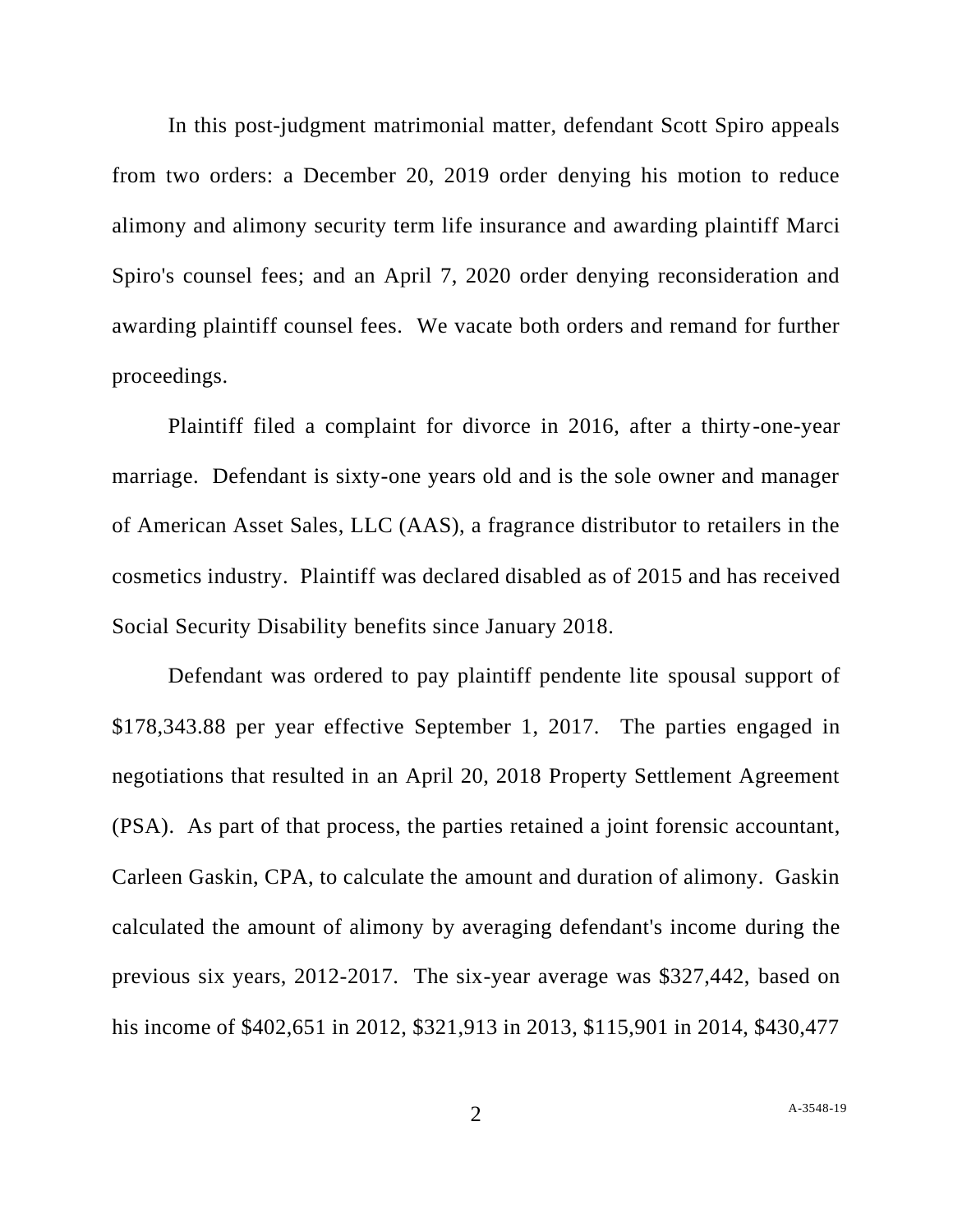In this post-judgment matrimonial matter, defendant Scott Spiro appeals from two orders: a December 20, 2019 order denying his motion to reduce alimony and alimony security term life insurance and awarding plaintiff Marci Spiro's counsel fees; and an April 7, 2020 order denying reconsideration and awarding plaintiff counsel fees. We vacate both orders and remand for further proceedings.

Plaintiff filed a complaint for divorce in 2016, after a thirty-one-year marriage. Defendant is sixty-one years old and is the sole owner and manager of American Asset Sales, LLC (AAS), a fragrance distributor to retailers in the cosmetics industry. Plaintiff was declared disabled as of 2015 and has received Social Security Disability benefits since January 2018.

Defendant was ordered to pay plaintiff pendente lite spousal support of \$178,343.88 per year effective September 1, 2017. The parties engaged in negotiations that resulted in an April 20, 2018 Property Settlement Agreement (PSA). As part of that process, the parties retained a joint forensic accountant, Carleen Gaskin, CPA, to calculate the amount and duration of alimony. Gaskin calculated the amount of alimony by averaging defendant's income during the previous six years, 2012-2017. The six-year average was \$327,442, based on his income of \$402,651 in 2012, \$321,913 in 2013, \$115,901 in 2014, \$430,477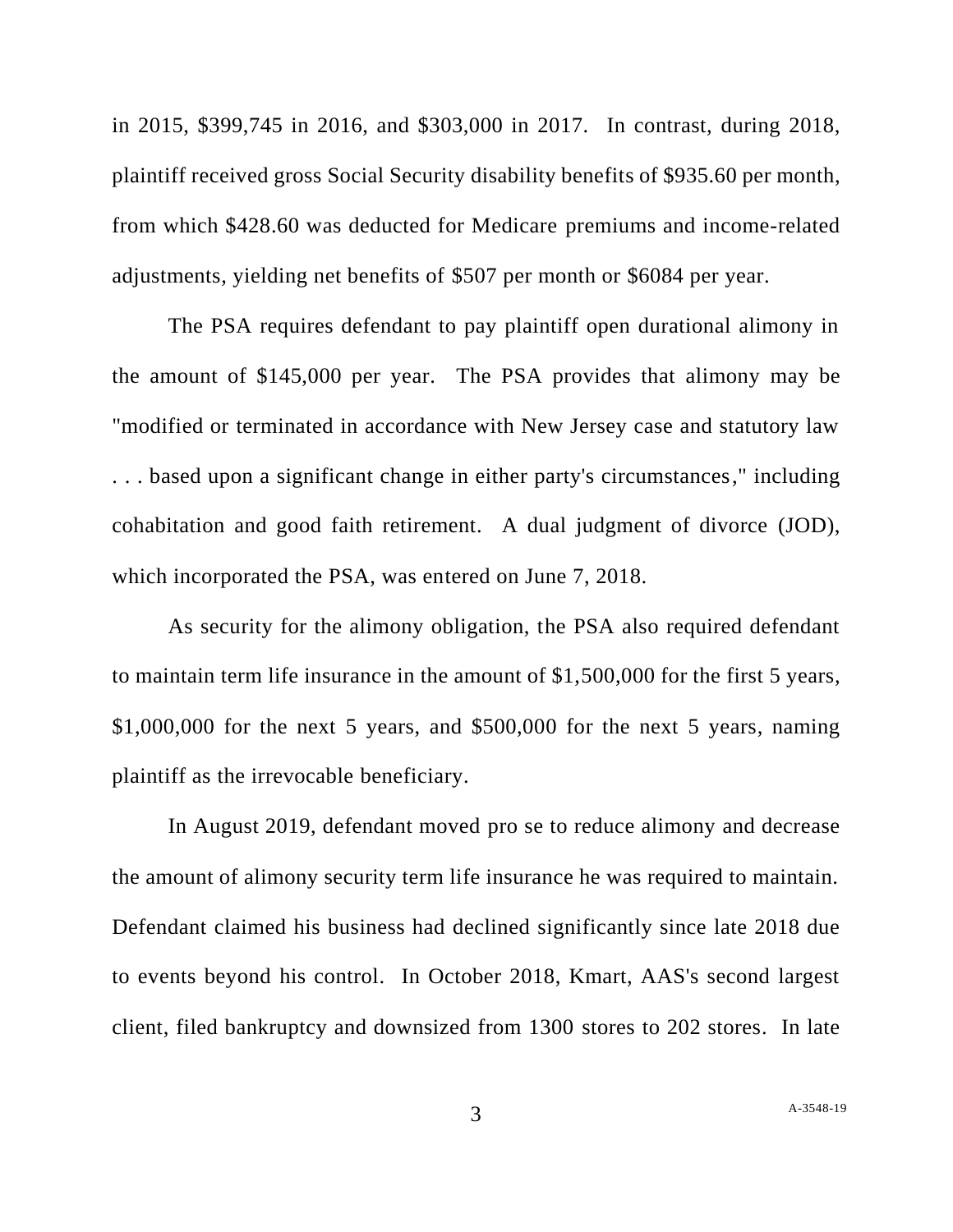in 2015, \$399,745 in 2016, and \$303,000 in 2017. In contrast, during 2018, plaintiff received gross Social Security disability benefits of \$935.60 per month, from which \$428.60 was deducted for Medicare premiums and income-related adjustments, yielding net benefits of \$507 per month or \$6084 per year.

The PSA requires defendant to pay plaintiff open durational alimony in the amount of \$145,000 per year. The PSA provides that alimony may be "modified or terminated in accordance with New Jersey case and statutory law . . . based upon a significant change in either party's circumstances," including cohabitation and good faith retirement. A dual judgment of divorce (JOD), which incorporated the PSA, was entered on June 7, 2018.

As security for the alimony obligation, the PSA also required defendant to maintain term life insurance in the amount of \$1,500,000 for the first 5 years, \$1,000,000 for the next 5 years, and \$500,000 for the next 5 years, naming plaintiff as the irrevocable beneficiary.

In August 2019, defendant moved pro se to reduce alimony and decrease the amount of alimony security term life insurance he was required to maintain. Defendant claimed his business had declined significantly since late 2018 due to events beyond his control. In October 2018, Kmart, AAS's second largest client, filed bankruptcy and downsized from 1300 stores to 202 stores. In late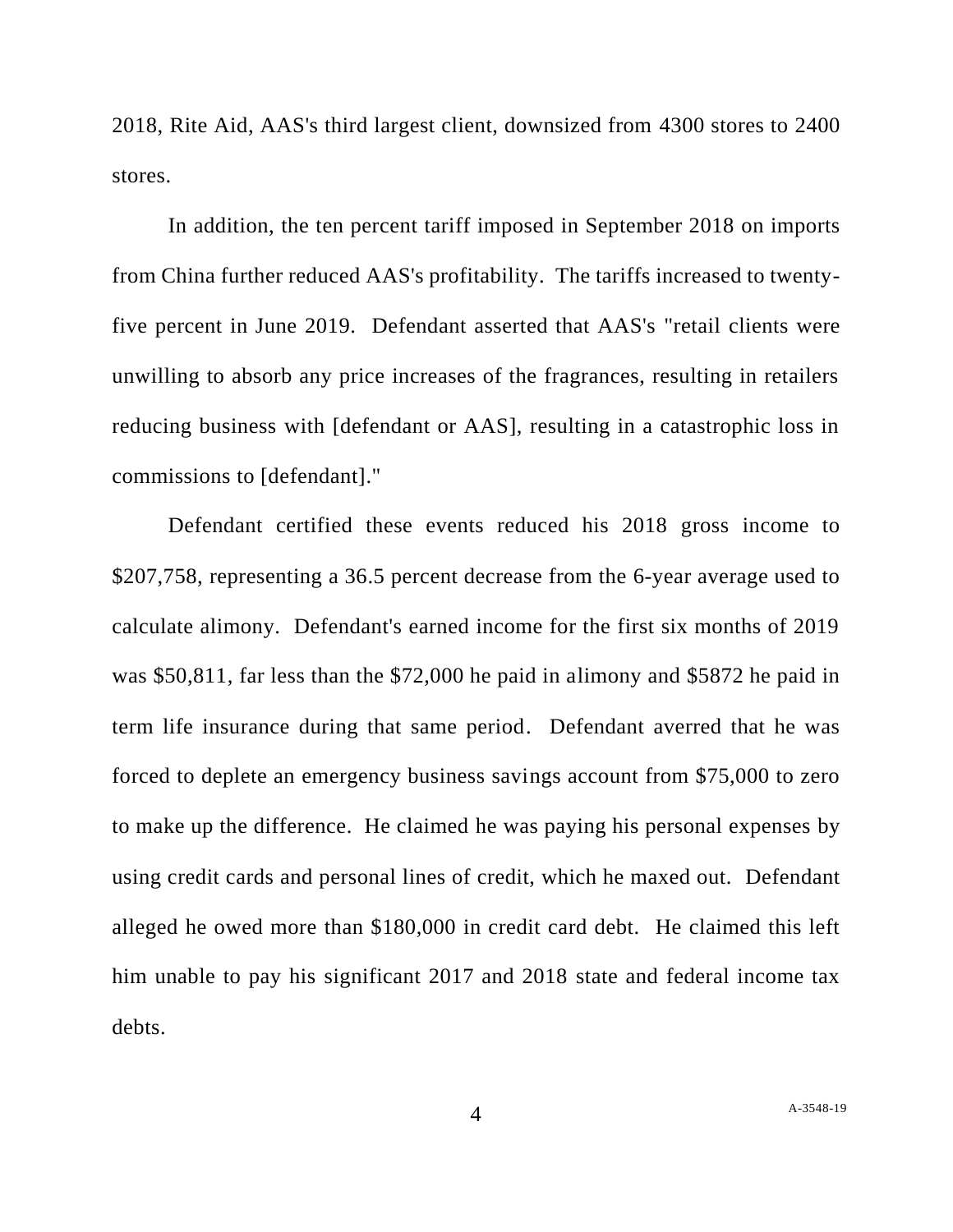2018, Rite Aid, AAS's third largest client, downsized from 4300 stores to 2400 stores.

In addition, the ten percent tariff imposed in September 2018 on imports from China further reduced AAS's profitability. The tariffs increased to twentyfive percent in June 2019. Defendant asserted that AAS's "retail clients were unwilling to absorb any price increases of the fragrances, resulting in retailers reducing business with [defendant or AAS], resulting in a catastrophic loss in commissions to [defendant]."

Defendant certified these events reduced his 2018 gross income to \$207,758, representing a 36.5 percent decrease from the 6-year average used to calculate alimony. Defendant's earned income for the first six months of 2019 was \$50,811, far less than the \$72,000 he paid in alimony and \$5872 he paid in term life insurance during that same period. Defendant averred that he was forced to deplete an emergency business savings account from \$75,000 to zero to make up the difference. He claimed he was paying his personal expenses by using credit cards and personal lines of credit, which he maxed out. Defendant alleged he owed more than \$180,000 in credit card debt. He claimed this left him unable to pay his significant 2017 and 2018 state and federal income tax debts.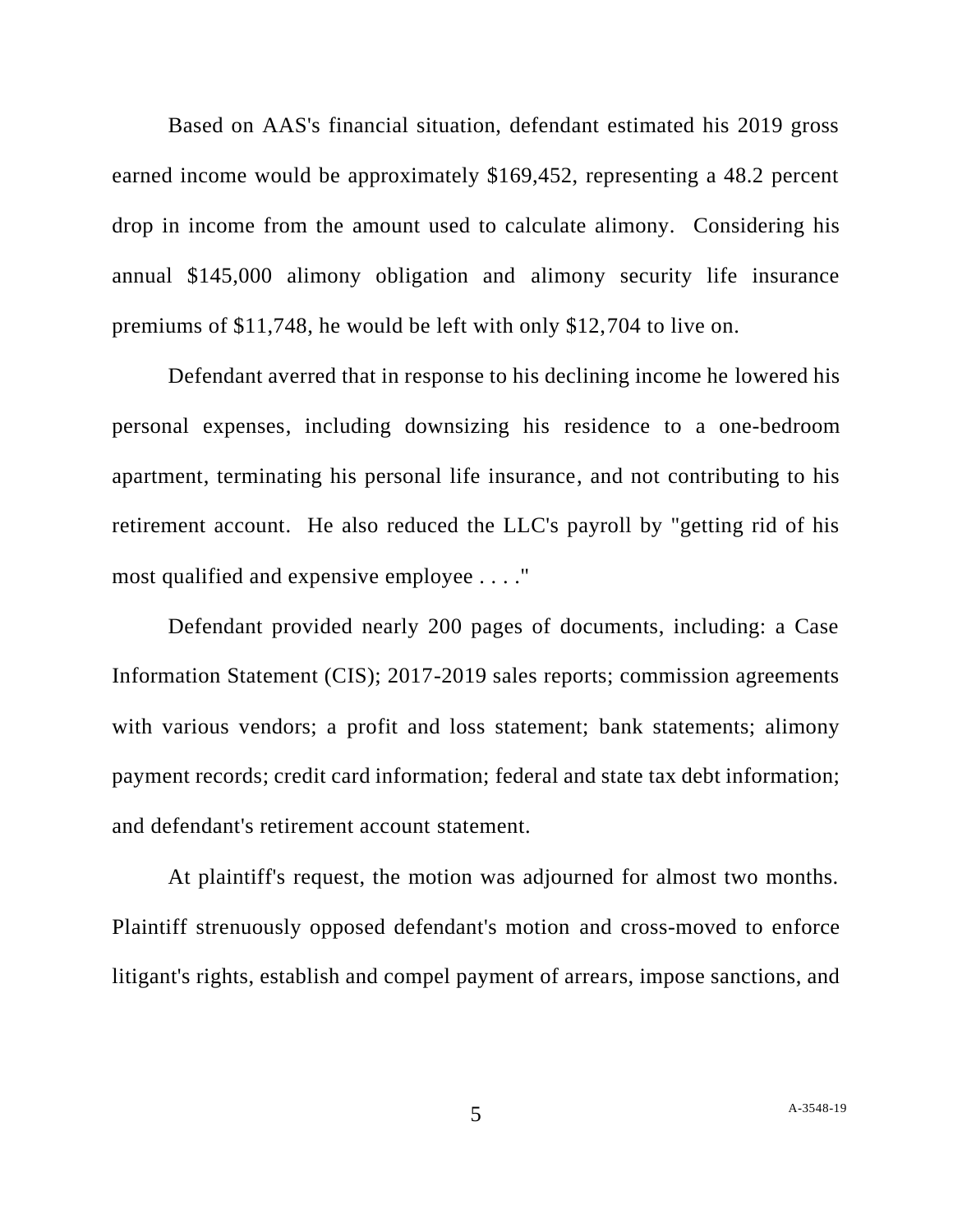Based on AAS's financial situation, defendant estimated his 2019 gross earned income would be approximately \$169,452, representing a 48.2 percent drop in income from the amount used to calculate alimony. Considering his annual \$145,000 alimony obligation and alimony security life insurance premiums of \$11,748, he would be left with only \$12,704 to live on.

Defendant averred that in response to his declining income he lowered his personal expenses, including downsizing his residence to a one-bedroom apartment, terminating his personal life insurance, and not contributing to his retirement account. He also reduced the LLC's payroll by "getting rid of his most qualified and expensive employee . . . ."

Defendant provided nearly 200 pages of documents, including: a Case Information Statement (CIS); 2017-2019 sales reports; commission agreements with various vendors; a profit and loss statement; bank statements; alimony payment records; credit card information; federal and state tax debt information; and defendant's retirement account statement.

At plaintiff's request, the motion was adjourned for almost two months. Plaintiff strenuously opposed defendant's motion and cross-moved to enforce litigant's rights, establish and compel payment of arrears, impose sanctions, and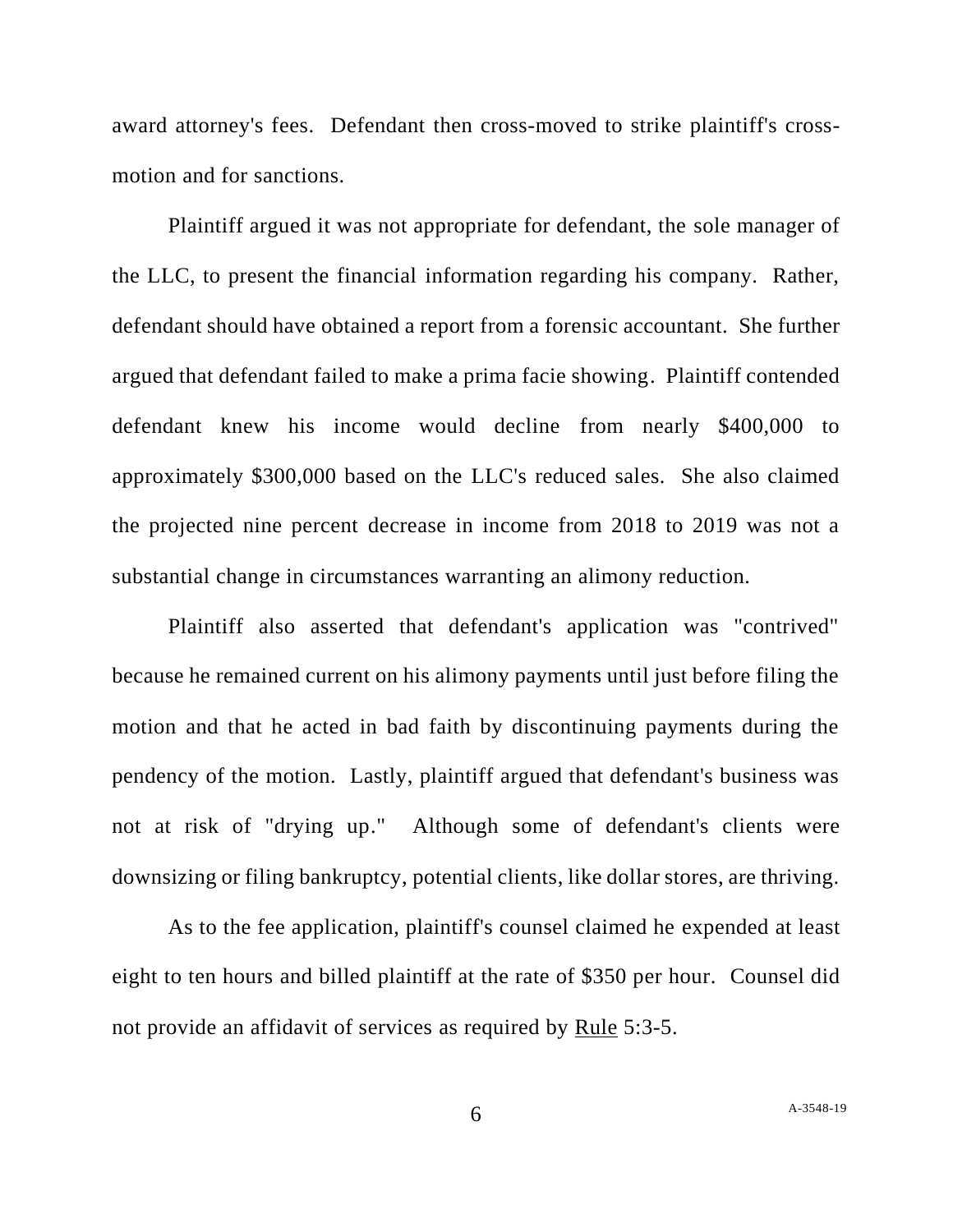award attorney's fees. Defendant then cross-moved to strike plaintiff's crossmotion and for sanctions.

Plaintiff argued it was not appropriate for defendant, the sole manager of the LLC, to present the financial information regarding his company. Rather, defendant should have obtained a report from a forensic accountant. She further argued that defendant failed to make a prima facie showing. Plaintiff contended defendant knew his income would decline from nearly \$400,000 to approximately \$300,000 based on the LLC's reduced sales. She also claimed the projected nine percent decrease in income from 2018 to 2019 was not a substantial change in circumstances warranting an alimony reduction.

Plaintiff also asserted that defendant's application was "contrived" because he remained current on his alimony payments until just before filing the motion and that he acted in bad faith by discontinuing payments during the pendency of the motion. Lastly, plaintiff argued that defendant's business was not at risk of "drying up." Although some of defendant's clients were downsizing or filing bankruptcy, potential clients, like dollar stores, are thriving.

As to the fee application, plaintiff's counsel claimed he expended at least eight to ten hours and billed plaintiff at the rate of \$350 per hour. Counsel did not provide an affidavit of services as required by Rule 5:3-5.

6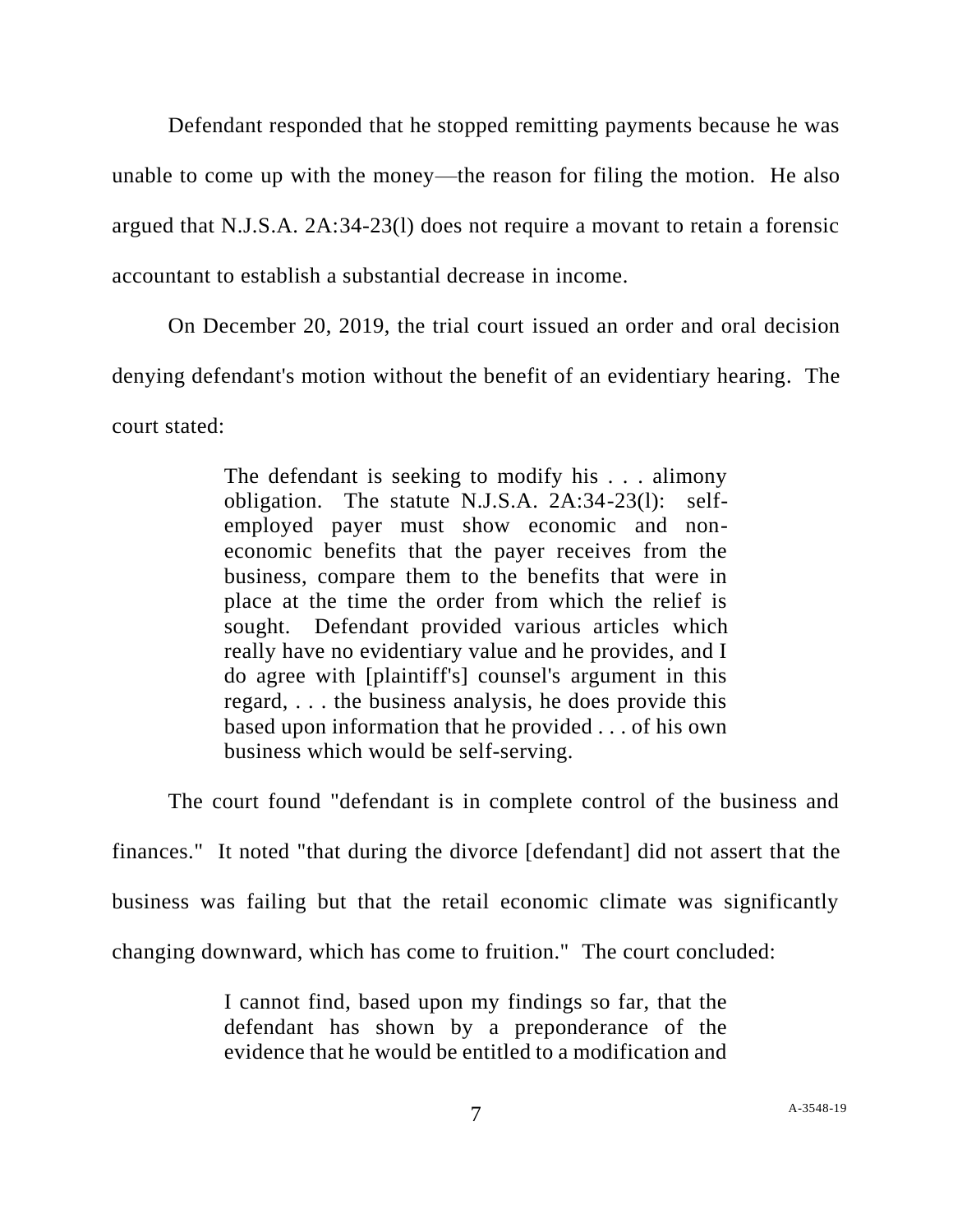Defendant responded that he stopped remitting payments because he was unable to come up with the money—the reason for filing the motion. He also argued that N.J.S.A. 2A:34-23(l) does not require a movant to retain a forensic accountant to establish a substantial decrease in income.

On December 20, 2019, the trial court issued an order and oral decision denying defendant's motion without the benefit of an evidentiary hearing. The court stated:

> The defendant is seeking to modify his . . . alimony obligation. The statute N.J.S.A. 2A:34-23(l): selfemployed payer must show economic and noneconomic benefits that the payer receives from the business, compare them to the benefits that were in place at the time the order from which the relief is sought. Defendant provided various articles which really have no evidentiary value and he provides, and I do agree with [plaintiff's] counsel's argument in this regard, . . . the business analysis, he does provide this based upon information that he provided . . . of his own business which would be self-serving.

The court found "defendant is in complete control of the business and finances." It noted "that during the divorce [defendant] did not assert that the business was failing but that the retail economic climate was significantly

changing downward, which has come to fruition." The court concluded:

I cannot find, based upon my findings so far, that the defendant has shown by a preponderance of the evidence that he would be entitled to a modification and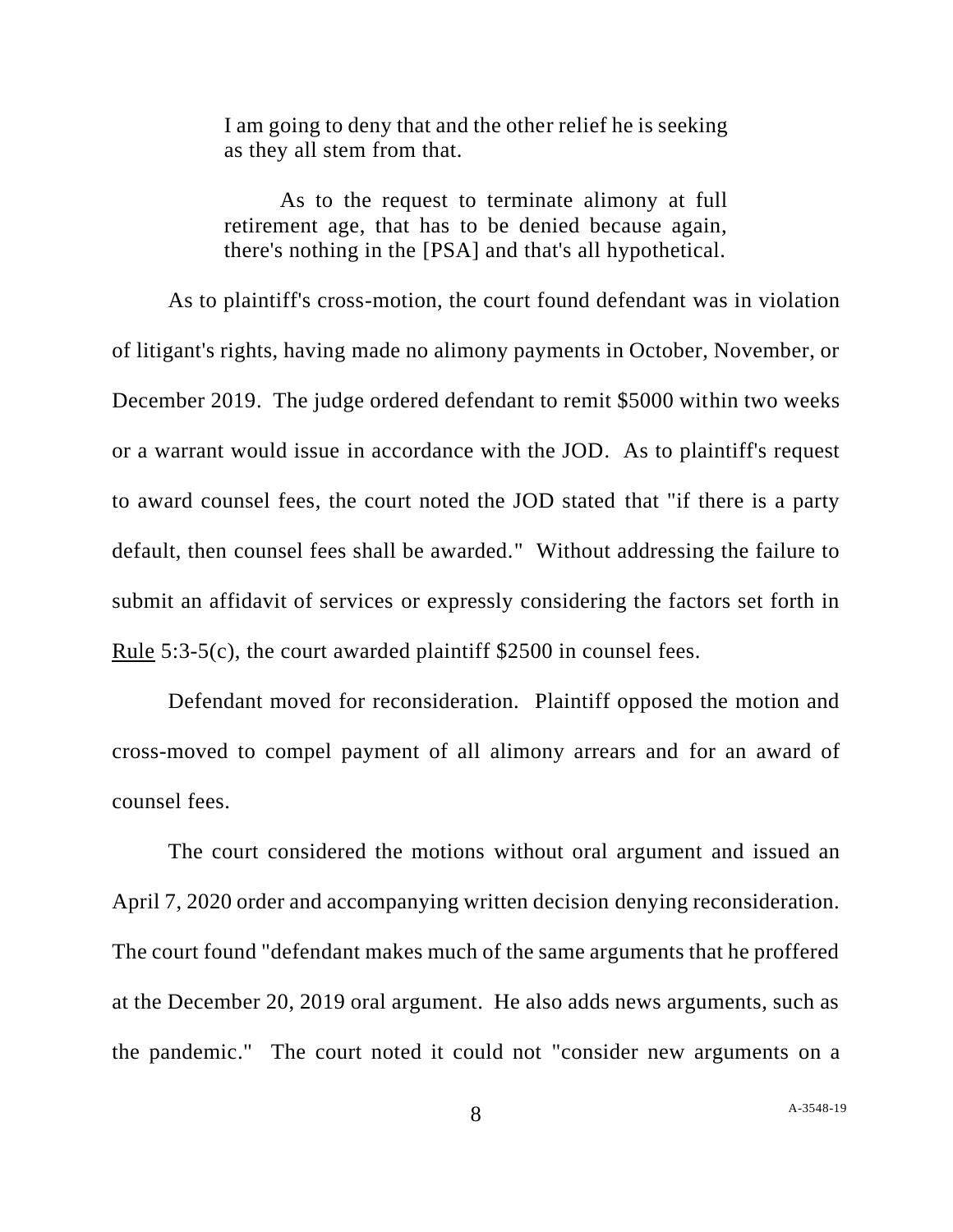I am going to deny that and the other relief he is seeking as they all stem from that.

As to the request to terminate alimony at full retirement age, that has to be denied because again, there's nothing in the [PSA] and that's all hypothetical.

As to plaintiff's cross-motion, the court found defendant was in violation of litigant's rights, having made no alimony payments in October, November, or December 2019. The judge ordered defendant to remit \$5000 within two weeks or a warrant would issue in accordance with the JOD. As to plaintiff's request to award counsel fees, the court noted the JOD stated that "if there is a party default, then counsel fees shall be awarded." Without addressing the failure to submit an affidavit of services or expressly considering the factors set forth in Rule 5:3-5(c), the court awarded plaintiff \$2500 in counsel fees.

Defendant moved for reconsideration. Plaintiff opposed the motion and cross-moved to compel payment of all alimony arrears and for an award of counsel fees.

The court considered the motions without oral argument and issued an April 7, 2020 order and accompanying written decision denying reconsideration. The court found "defendant makes much of the same arguments that he proffered at the December 20, 2019 oral argument. He also adds news arguments, such as the pandemic." The court noted it could not "consider new arguments on a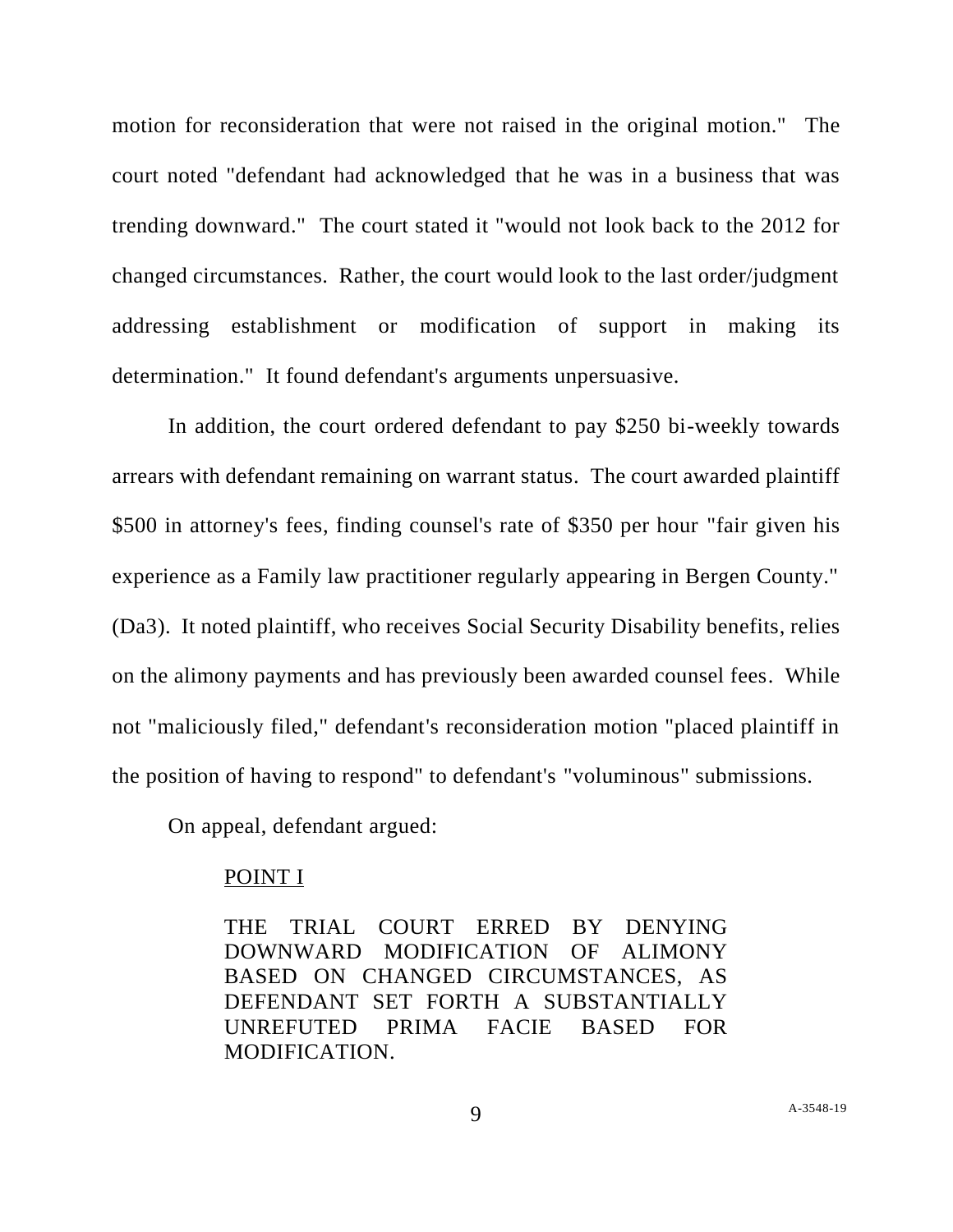motion for reconsideration that were not raised in the original motion." The court noted "defendant had acknowledged that he was in a business that was trending downward." The court stated it "would not look back to the 2012 for changed circumstances. Rather, the court would look to the last order/judgment addressing establishment or modification of support in making its determination." It found defendant's arguments unpersuasive.

In addition, the court ordered defendant to pay \$250 bi-weekly towards arrears with defendant remaining on warrant status. The court awarded plaintiff \$500 in attorney's fees, finding counsel's rate of \$350 per hour "fair given his experience as a Family law practitioner regularly appearing in Bergen County." (Da3). It noted plaintiff, who receives Social Security Disability benefits, relies on the alimony payments and has previously been awarded counsel fees. While not "maliciously filed," defendant's reconsideration motion "placed plaintiff in the position of having to respond" to defendant's "voluminous" submissions.

On appeal, defendant argued:

### POINT I

THE TRIAL COURT ERRED BY DENYING DOWNWARD MODIFICATION OF ALIMONY BASED ON CHANGED CIRCUMSTANCES, AS DEFENDANT SET FORTH A SUBSTANTIALLY UNREFUTED PRIMA FACIE BASED FOR MODIFICATION.

9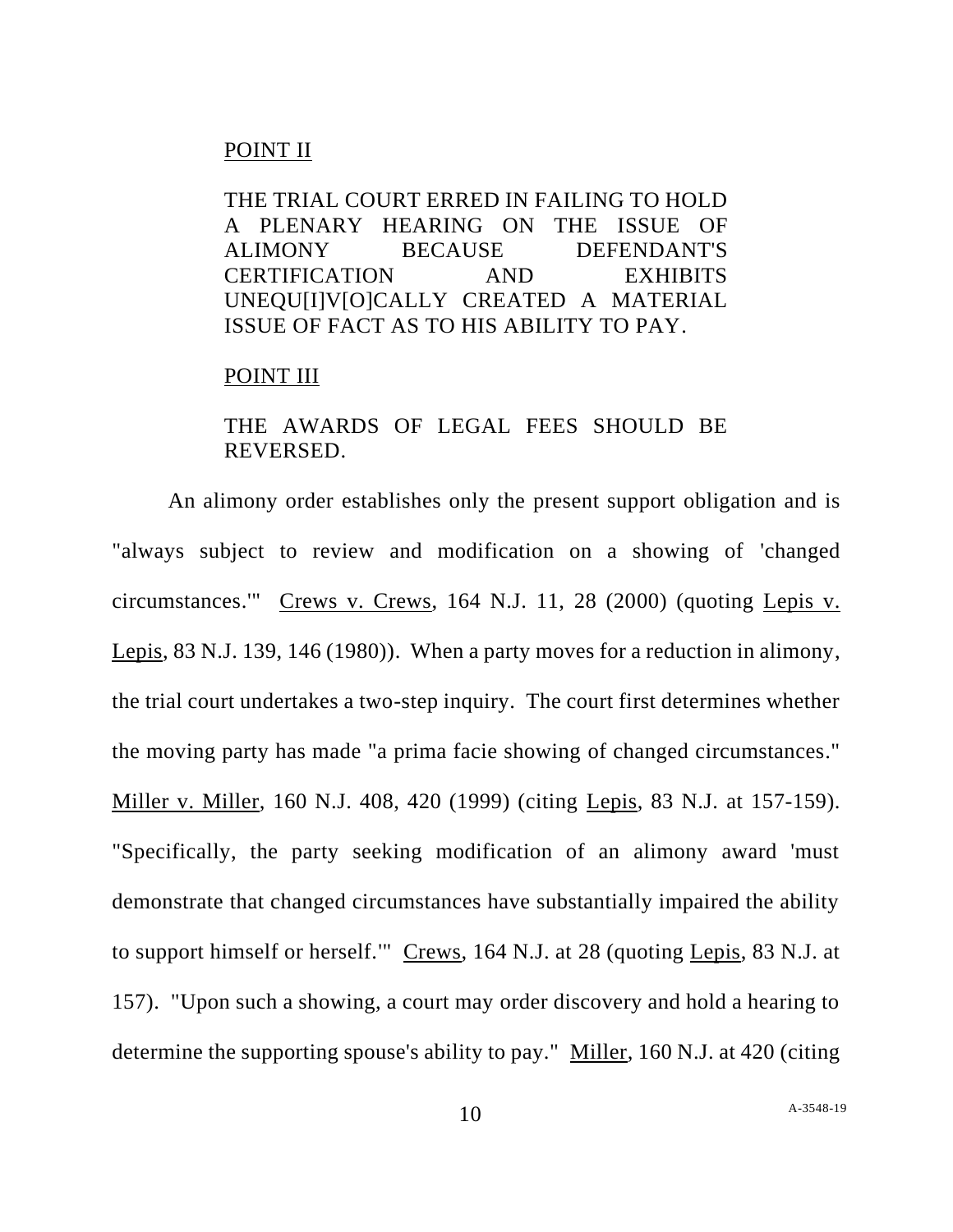## POINT II

THE TRIAL COURT ERRED IN FAILING TO HOLD A PLENARY HEARING ON THE ISSUE OF ALIMONY BECAUSE DEFENDANT'S CERTIFICATION AND EXHIBITS UNEQU[I]V[O]CALLY CREATED A MATERIAL ISSUE OF FACT AS TO HIS ABILITY TO PAY.

### POINT III

# THE AWARDS OF LEGAL FEES SHOULD BE REVERSED.

An alimony order establishes only the present support obligation and is "always subject to review and modification on a showing of 'changed circumstances.'" Crews v. Crews, 164 N.J. 11, 28 (2000) (quoting Lepis v. Lepis, 83 N.J. 139, 146 (1980)). When a party moves for a reduction in alimony, the trial court undertakes a two-step inquiry. The court first determines whether the moving party has made "a prima facie showing of changed circumstances." Miller v. Miller, 160 N.J. 408, 420 (1999) (citing Lepis, 83 N.J. at 157-159). "Specifically, the party seeking modification of an alimony award 'must demonstrate that changed circumstances have substantially impaired the ability to support himself or herself." Crews, 164 N.J. at 28 (quoting Lepis, 83 N.J. at 157). "Upon such a showing, a court may order discovery and hold a hearing to determine the supporting spouse's ability to pay." Miller, 160 N.J. at 420 (citing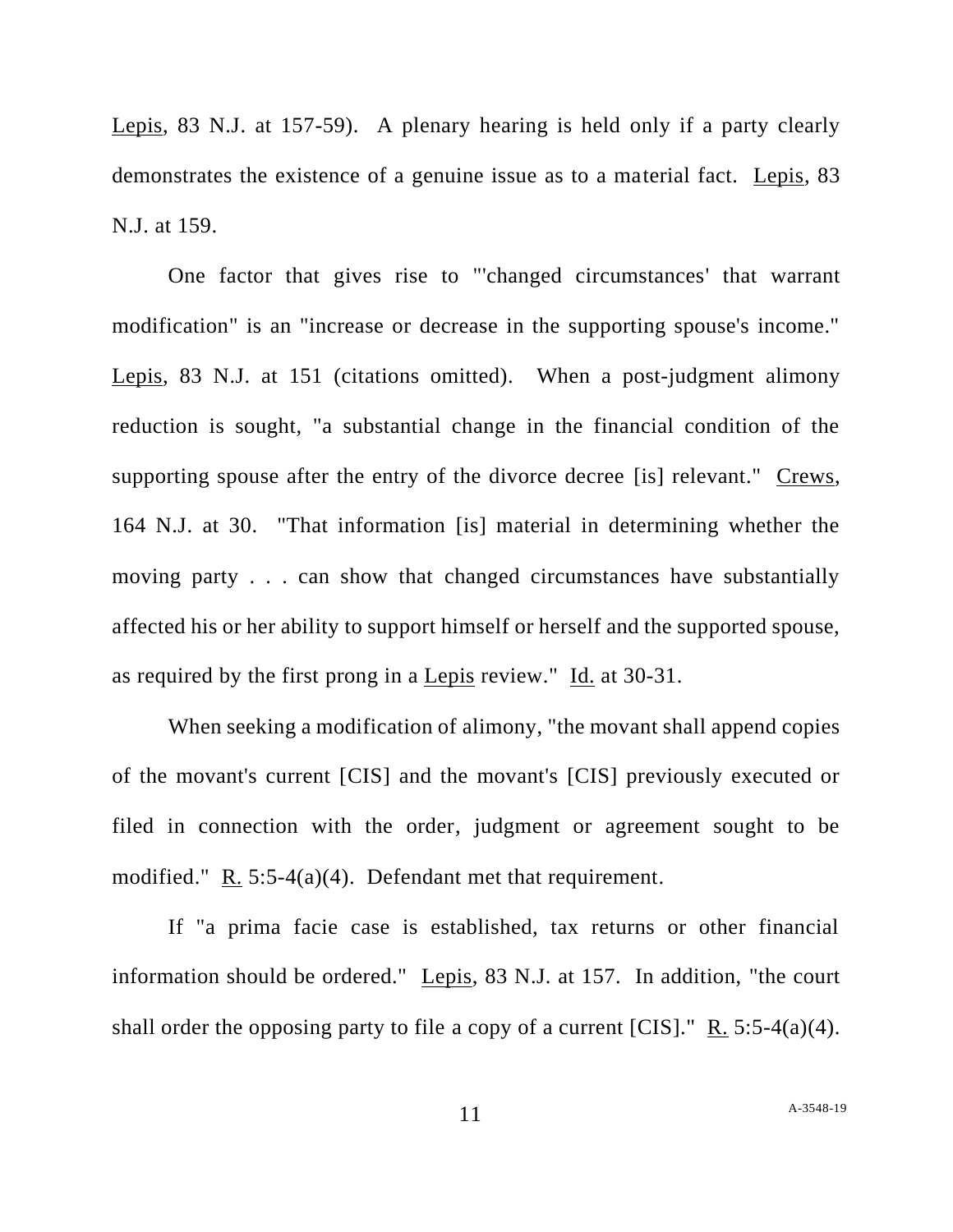Lepis, 83 N.J. at 157-59). A plenary hearing is held only if a party clearly demonstrates the existence of a genuine issue as to a material fact. Lepis, 83 N.J. at 159.

One factor that gives rise to "'changed circumstances' that warrant modification" is an "increase or decrease in the supporting spouse's income." Lepis, 83 N.J. at 151 (citations omitted). When a post-judgment alimony reduction is sought, "a substantial change in the financial condition of the supporting spouse after the entry of the divorce decree [is] relevant." Crews, 164 N.J. at 30. "That information [is] material in determining whether the moving party . . . can show that changed circumstances have substantially affected his or her ability to support himself or herself and the supported spouse, as required by the first prong in a Lepis review." Id. at 30-31.

When seeking a modification of alimony, "the movant shall append copies of the movant's current [CIS] and the movant's [CIS] previously executed or filed in connection with the order, judgment or agreement sought to be modified." R. 5:5-4(a)(4). Defendant met that requirement.

If "a prima facie case is established, tax returns or other financial information should be ordered." Lepis, 83 N.J. at 157. In addition, "the court shall order the opposing party to file a copy of a current  $[CIS]$ ." R. 5:5-4(a)(4).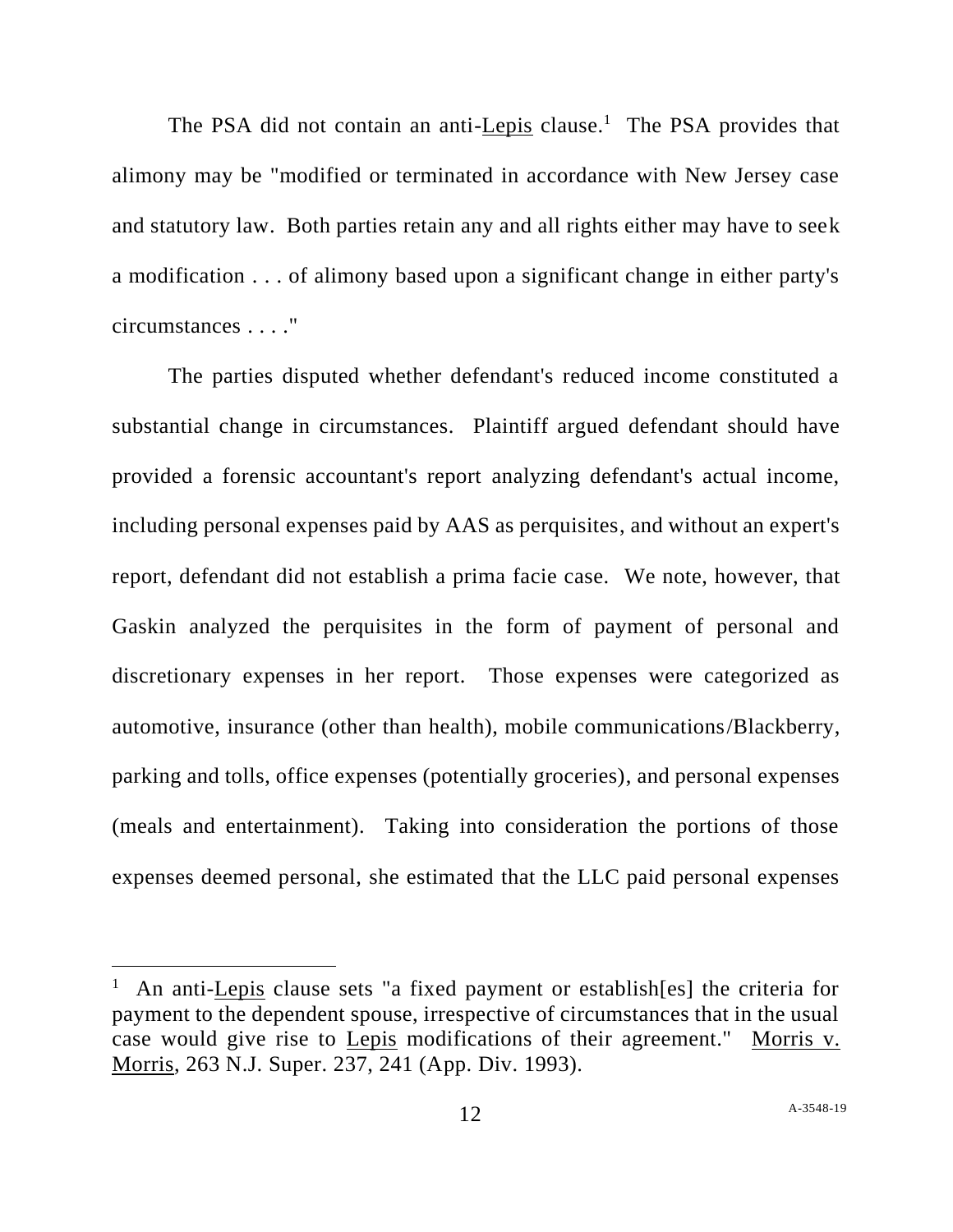The PSA did not contain an anti-Lepis clause.<sup>1</sup> The PSA provides that alimony may be "modified or terminated in accordance with New Jersey case and statutory law. Both parties retain any and all rights either may have to seek a modification . . . of alimony based upon a significant change in either party's circumstances . . . ."

The parties disputed whether defendant's reduced income constituted a substantial change in circumstances. Plaintiff argued defendant should have provided a forensic accountant's report analyzing defendant's actual income, including personal expenses paid by AAS as perquisites, and without an expert's report, defendant did not establish a prima facie case. We note, however, that Gaskin analyzed the perquisites in the form of payment of personal and discretionary expenses in her report. Those expenses were categorized as automotive, insurance (other than health), mobile communications/Blackberry, parking and tolls, office expenses (potentially groceries), and personal expenses (meals and entertainment). Taking into consideration the portions of those expenses deemed personal, she estimated that the LLC paid personal expenses

<sup>&</sup>lt;sup>1</sup> An anti-Lepis clause sets "a fixed payment or establish[es] the criteria for payment to the dependent spouse, irrespective of circumstances that in the usual case would give rise to Lepis modifications of their agreement." Morris v. Morris, 263 N.J. Super. 237, 241 (App. Div. 1993).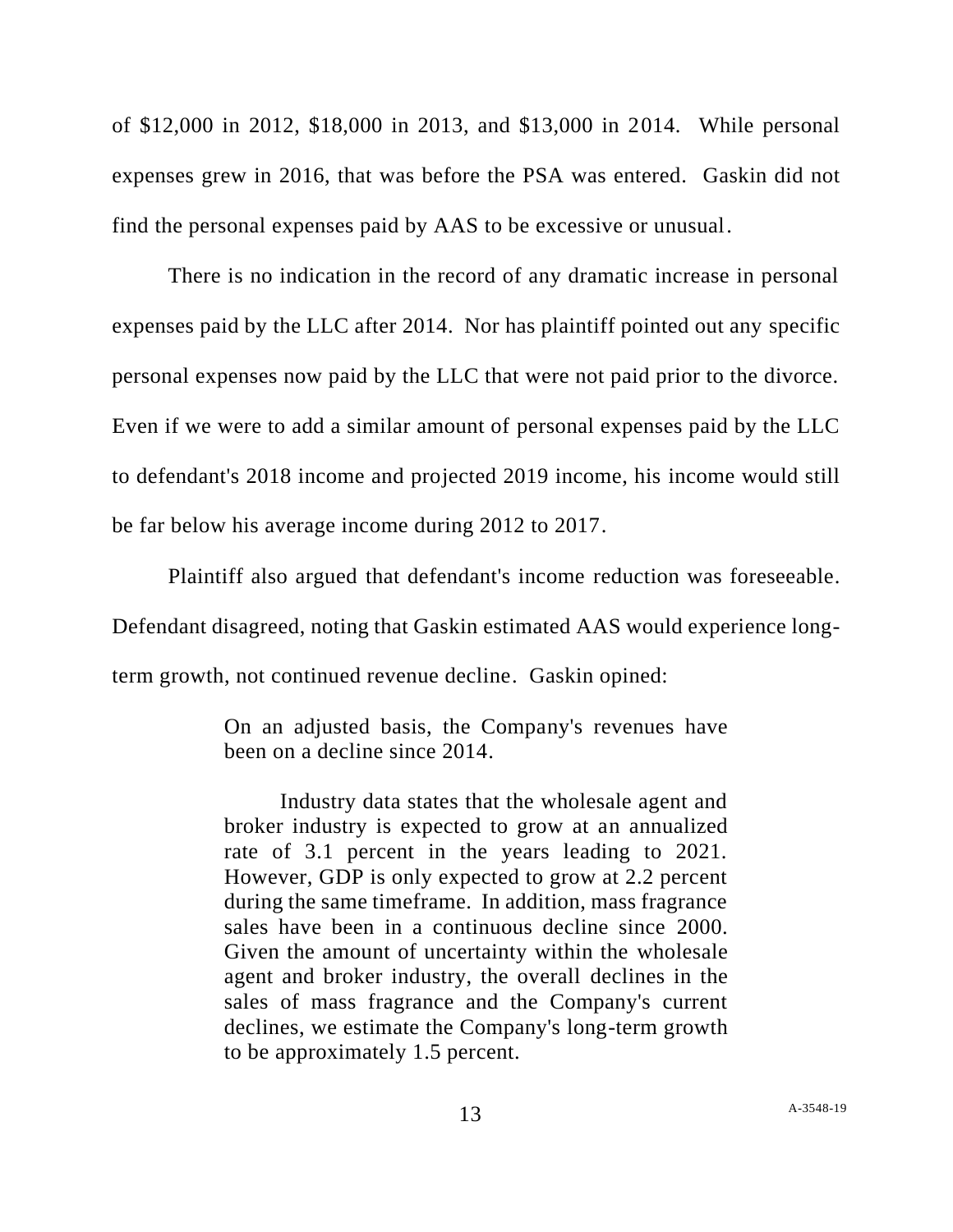of \$12,000 in 2012, \$18,000 in 2013, and \$13,000 in 2014. While personal expenses grew in 2016, that was before the PSA was entered. Gaskin did not find the personal expenses paid by AAS to be excessive or unusual.

There is no indication in the record of any dramatic increase in personal expenses paid by the LLC after 2014. Nor has plaintiff pointed out any specific personal expenses now paid by the LLC that were not paid prior to the divorce. Even if we were to add a similar amount of personal expenses paid by the LLC to defendant's 2018 income and projected 2019 income, his income would still be far below his average income during 2012 to 2017.

Plaintiff also argued that defendant's income reduction was foreseeable. Defendant disagreed, noting that Gaskin estimated AAS would experience longterm growth, not continued revenue decline. Gaskin opined:

> On an adjusted basis, the Company's revenues have been on a decline since 2014.

> Industry data states that the wholesale agent and broker industry is expected to grow at an annualized rate of 3.1 percent in the years leading to 2021. However, GDP is only expected to grow at 2.2 percent during the same timeframe. In addition, mass fragrance sales have been in a continuous decline since 2000. Given the amount of uncertainty within the wholesale agent and broker industry, the overall declines in the sales of mass fragrance and the Company's current declines, we estimate the Company's long-term growth to be approximately 1.5 percent.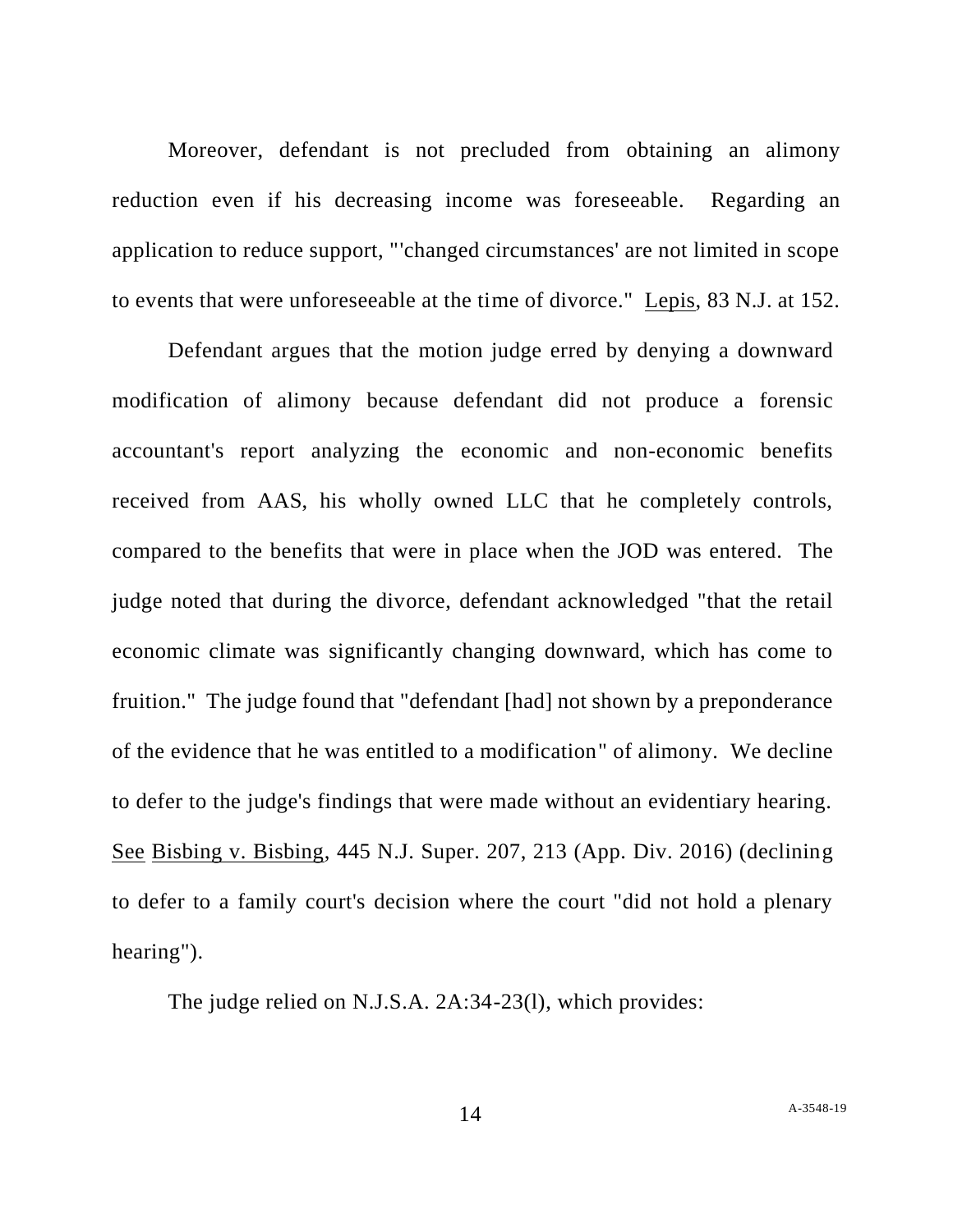Moreover, defendant is not precluded from obtaining an alimony reduction even if his decreasing income was foreseeable. Regarding an application to reduce support, "'changed circumstances' are not limited in scope to events that were unforeseeable at the time of divorce." Lepis, 83 N.J. at 152.

Defendant argues that the motion judge erred by denying a downward modification of alimony because defendant did not produce a forensic accountant's report analyzing the economic and non-economic benefits received from AAS, his wholly owned LLC that he completely controls, compared to the benefits that were in place when the JOD was entered. The judge noted that during the divorce, defendant acknowledged "that the retail economic climate was significantly changing downward, which has come to fruition." The judge found that "defendant [had] not shown by a preponderance of the evidence that he was entitled to a modification" of alimony. We decline to defer to the judge's findings that were made without an evidentiary hearing. See Bisbing v. Bisbing, 445 N.J. Super. 207, 213 (App. Div. 2016) (declining to defer to a family court's decision where the court "did not hold a plenary hearing").

The judge relied on N.J.S.A. 2A:34-23(l), which provides: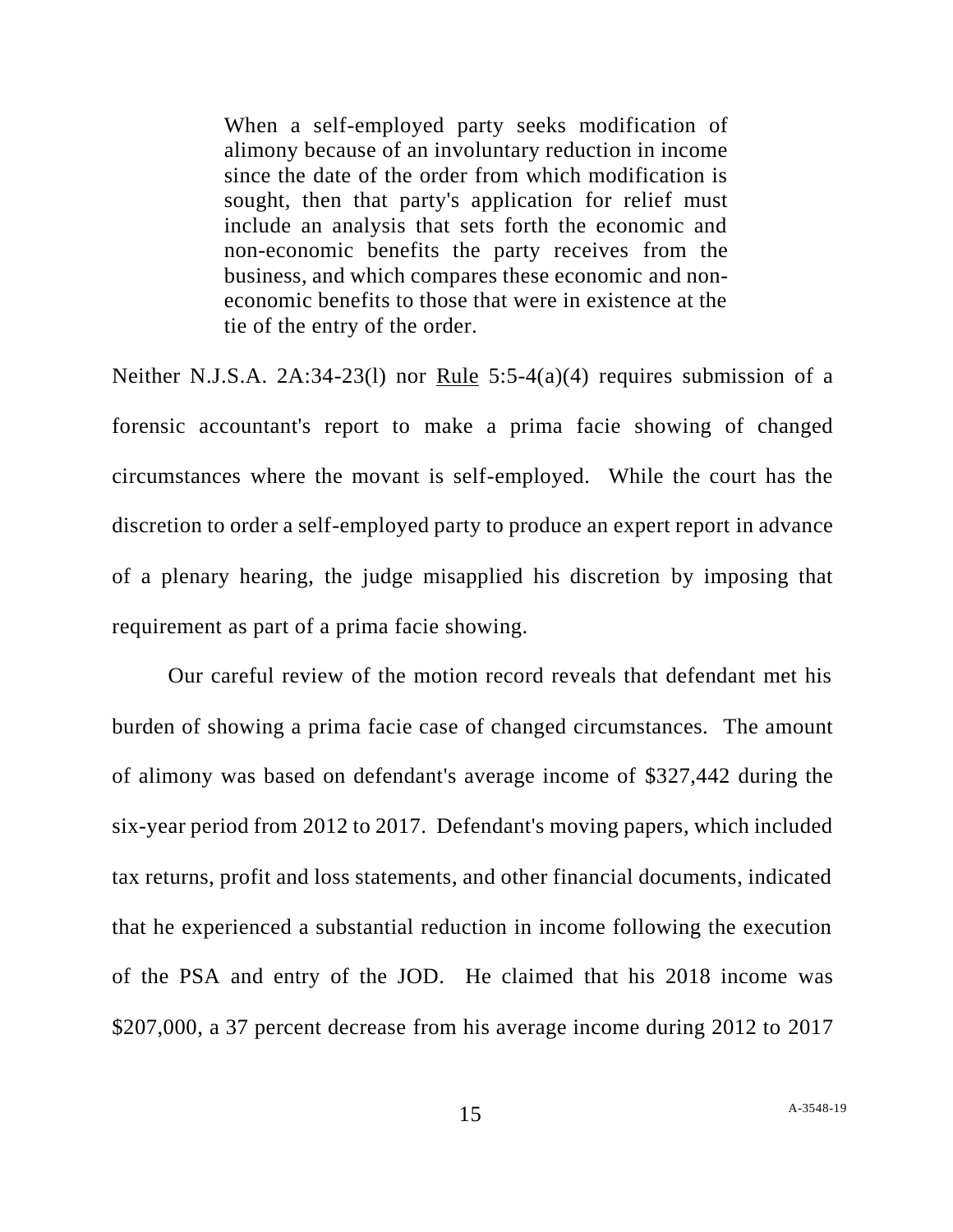When a self-employed party seeks modification of alimony because of an involuntary reduction in income since the date of the order from which modification is sought, then that party's application for relief must include an analysis that sets forth the economic and non-economic benefits the party receives from the business, and which compares these economic and noneconomic benefits to those that were in existence at the tie of the entry of the order.

Neither N.J.S.A. 2A:34-23(1) nor Rule  $5:5-4(a)(4)$  requires submission of a forensic accountant's report to make a prima facie showing of changed circumstances where the movant is self-employed. While the court has the discretion to order a self-employed party to produce an expert report in advance of a plenary hearing, the judge misapplied his discretion by imposing that requirement as part of a prima facie showing.

Our careful review of the motion record reveals that defendant met his burden of showing a prima facie case of changed circumstances. The amount of alimony was based on defendant's average income of \$327,442 during the six-year period from 2012 to 2017. Defendant's moving papers, which included tax returns, profit and loss statements, and other financial documents, indicated that he experienced a substantial reduction in income following the execution of the PSA and entry of the JOD. He claimed that his 2018 income was \$207,000, a 37 percent decrease from his average income during 2012 to 2017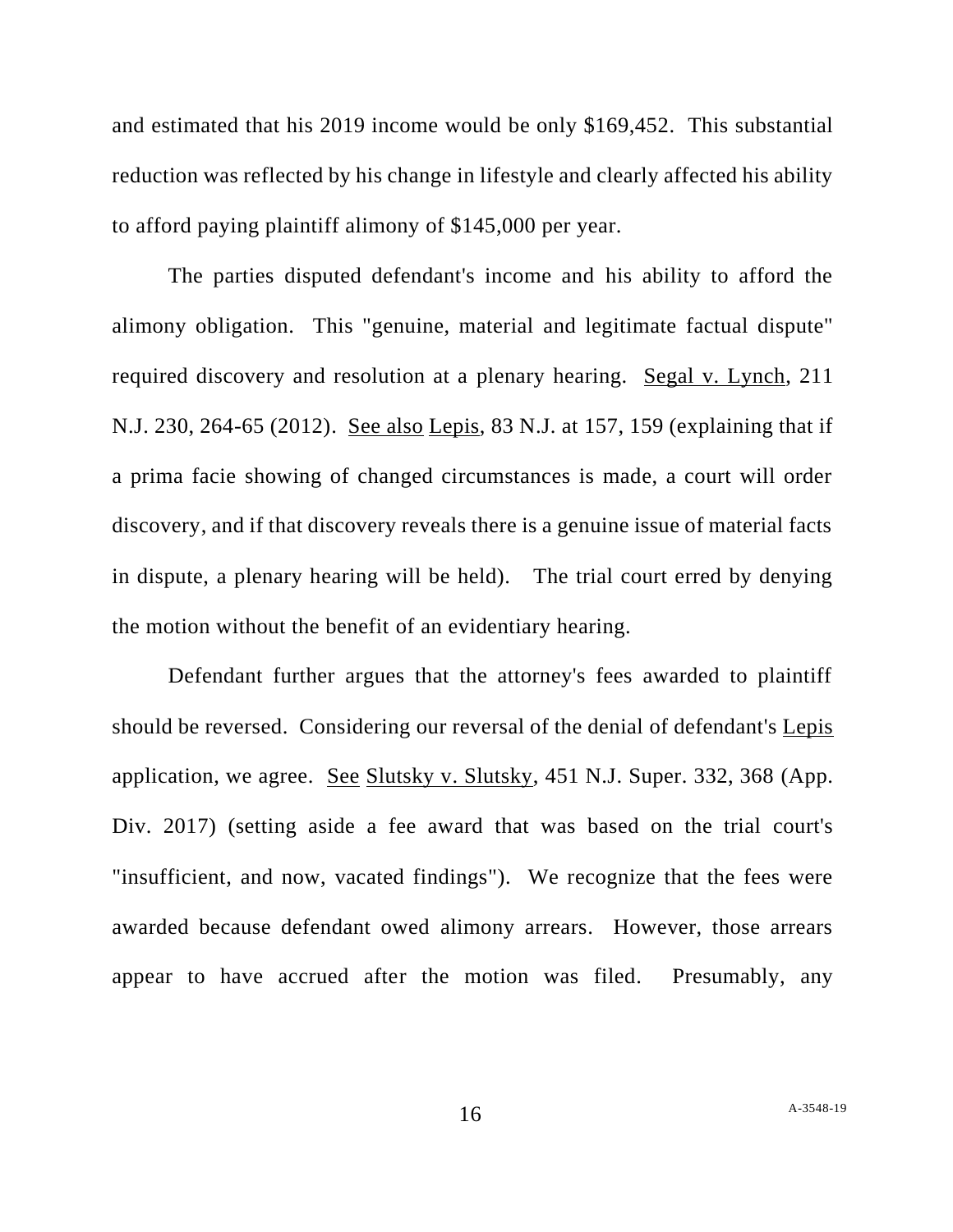and estimated that his 2019 income would be only \$169,452. This substantial reduction was reflected by his change in lifestyle and clearly affected his ability to afford paying plaintiff alimony of \$145,000 per year.

The parties disputed defendant's income and his ability to afford the alimony obligation. This "genuine, material and legitimate factual dispute" required discovery and resolution at a plenary hearing. Segal v. Lynch, 211 N.J. 230, 264-65 (2012). See also Lepis, 83 N.J. at 157, 159 (explaining that if a prima facie showing of changed circumstances is made, a court will order discovery, and if that discovery reveals there is a genuine issue of material facts in dispute, a plenary hearing will be held). The trial court erred by denying the motion without the benefit of an evidentiary hearing.

Defendant further argues that the attorney's fees awarded to plaintiff should be reversed. Considering our reversal of the denial of defendant's Lepis application, we agree. See Slutsky v. Slutsky, 451 N.J. Super. 332, 368 (App. Div. 2017) (setting aside a fee award that was based on the trial court's "insufficient, and now, vacated findings"). We recognize that the fees were awarded because defendant owed alimony arrears. However, those arrears appear to have accrued after the motion was filed. Presumably, any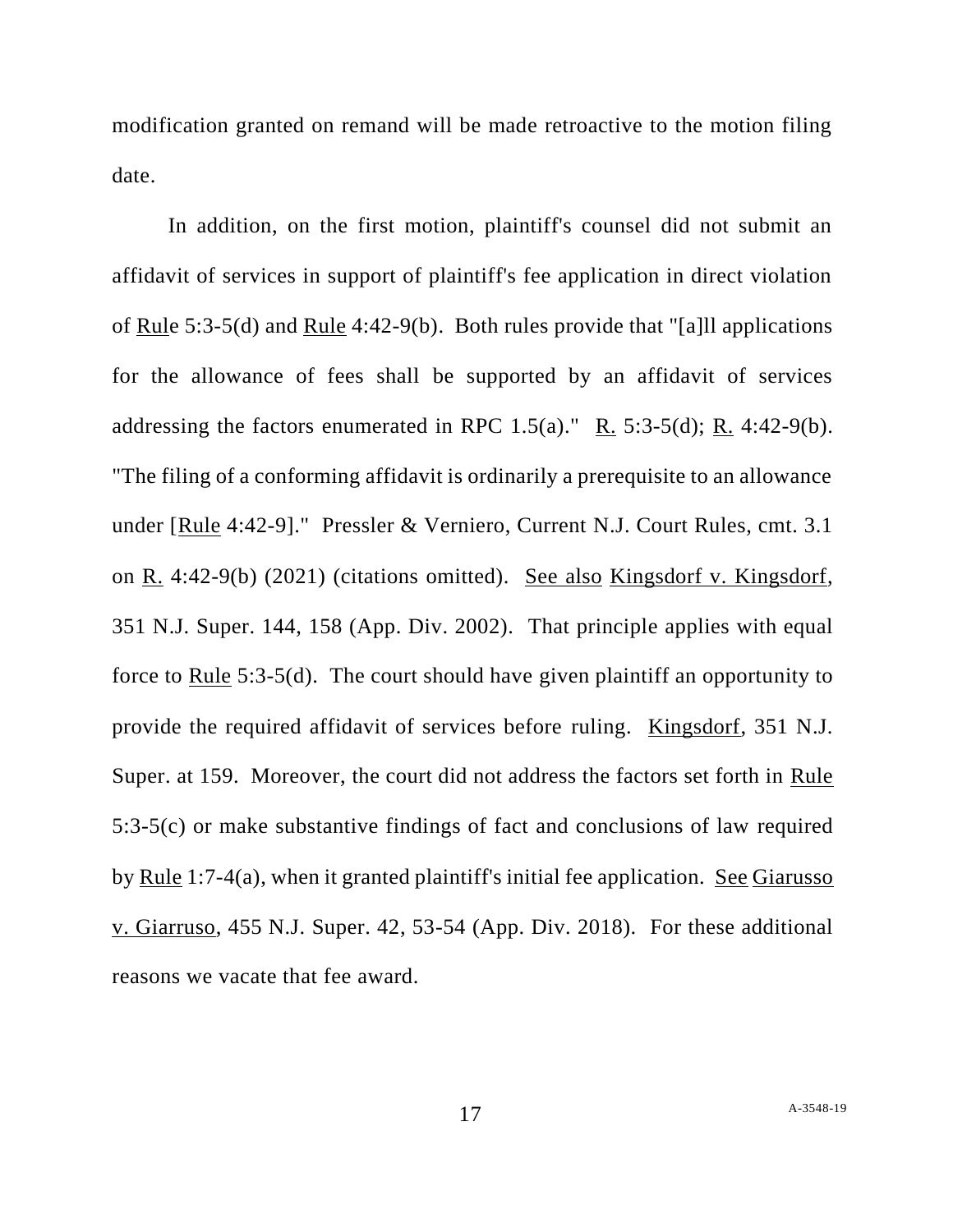modification granted on remand will be made retroactive to the motion filing date.

In addition, on the first motion, plaintiff's counsel did not submit an affidavit of services in support of plaintiff's fee application in direct violation of Rule 5:3-5(d) and Rule 4:42-9(b). Both rules provide that "[a]ll applications for the allowance of fees shall be supported by an affidavit of services addressing the factors enumerated in RPC  $1.5(a)$ ." R.  $5:3-5(d)$ ; R.  $4:42-9(b)$ . "The filing of a conforming affidavit is ordinarily a prerequisite to an allowance under [Rule 4:42-9]." Pressler & Verniero, Current N.J. Court Rules, cmt. 3.1 on R. 4:42-9(b) (2021) (citations omitted). See also Kingsdorf v. Kingsdorf, 351 N.J. Super. 144, 158 (App. Div. 2002). That principle applies with equal force to Rule 5:3-5(d). The court should have given plaintiff an opportunity to provide the required affidavit of services before ruling. Kingsdorf, 351 N.J. Super. at 159. Moreover, the court did not address the factors set forth in Rule 5:3-5(c) or make substantive findings of fact and conclusions of law required by Rule 1:7-4(a), when it granted plaintiff's initial fee application. See Giarusso v. Giarruso, 455 N.J. Super. 42, 53-54 (App. Div. 2018). For these additional reasons we vacate that fee award.